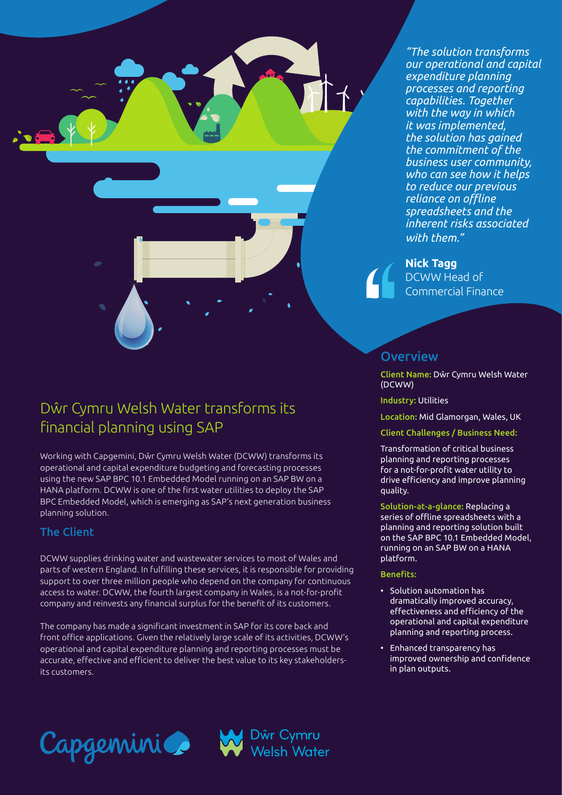*"The solution transforms our operational and capital expenditure planning processes and reporting capabilities. Together with the way in which it was implemented, the solution has gained the commitment of the business user community, who can see how it helps to reduce our previous reliance on offline spreadsheets and the inherent risks associated with them."* 

#### **Nick Tagg**

DCWW Head of Commercial Finance

# Dŵr Cymru Welsh Water transforms its financial planning using SAP

Working with Capgemini, Dŵr Cymru Welsh Water (DCWW) transforms its operational and capital expenditure budgeting and forecasting processes using the new SAP BPC 10.1 Embedded Model running on an SAP BW on a HANA platform. DCWW is one of the first water utilities to deploy the SAP BPC Embedded Model, which is emerging as SAP's next generation business planning solution.

#### The Client

DCWW supplies drinking water and wastewater services to most of Wales and parts of western England. In fulfilling these services, it is responsible for providing support to over three million people who depend on the company for continuous access to water. DCWW, the fourth largest company in Wales, is a not-for-profit company and reinvests any financial surplus for the benefit of its customers.

The company has made a significant investment in SAP for its core back and front office applications. Given the relatively large scale of its activities, DCWW's operational and capital expenditure planning and reporting processes must be accurate, effective and efficient to deliver the best value to its key stakeholdersits customers.

# **Overview**

Client Name: Dŵr Cymru Welsh Water (DCWW)

Industry: Utilities

Location: Mid Glamorgan, Wales, UK

Client Challenges / Business Need:

Transformation of critical business planning and reporting processes for a not-for-profit water utility to drive efficiency and improve planning quality.

Solution-at-a-glance: Replacing a series of offline spreadsheets with a planning and reporting solution built on the SAP BPC 10.1 Embedded Model, running on an SAP BW on a HANA platform.

#### Benefits:

- Solution automation has dramatically improved accuracy, effectiveness and efficiency of the operational and capital expenditure planning and reporting process.
- Enhanced transparency has improved ownership and confidence in plan outputs.



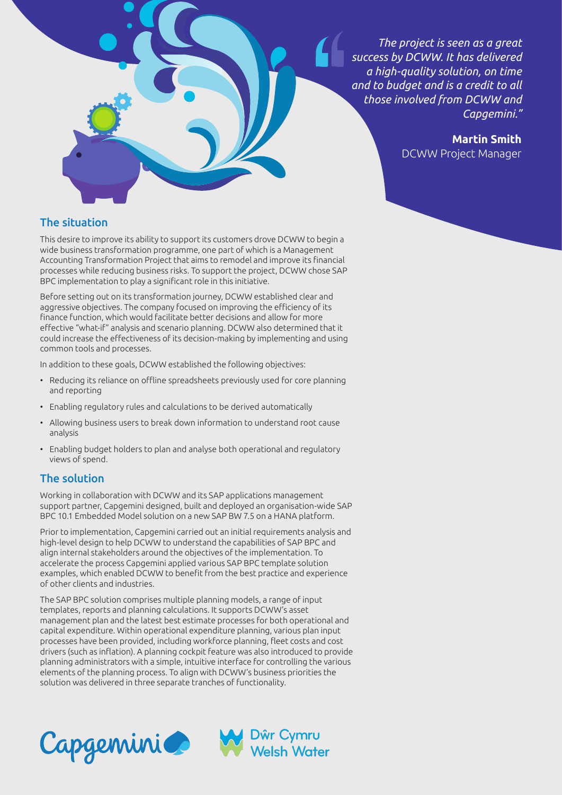

**Martin Smith** DCWW Project Manager

### The situation

This desire to improve its ability to support its customers drove DCWW to begin a wide business transformation programme, one part of which is a Management Accounting Transformation Project that aims to remodel and improve its financial processes while reducing business risks. To support the project, DCWW chose SAP BPC implementation to play a significant role in this initiative.

Before setting out on its transformation journey, DCWW established clear and aggressive objectives. The company focused on improving the efficiency of its finance function, which would facilitate better decisions and allow for more effective "what-if" analysis and scenario planning. DCWW also determined that it could increase the effectiveness of its decision-making by implementing and using common tools and processes.

In addition to these goals, DCWW established the following objectives:

- Reducing its reliance on offline spreadsheets previously used for core planning and reporting
- Enabling regulatory rules and calculations to be derived automatically
- Allowing business users to break down information to understand root cause analysis
- Enabling budget holders to plan and analyse both operational and regulatory views of spend.

#### The solution

Working in collaboration with DCWW and its SAP applications management support partner, Capgemini designed, built and deployed an organisation-wide SAP BPC 10.1 Embedded Model solution on a new SAP BW 7.5 on a HANA platform.

Prior to implementation, Capgemini carried out an initial requirements analysis and high-level design to help DCWW to understand the capabilities of SAP BPC and align internal stakeholders around the objectives of the implementation. To accelerate the process Capgemini applied various SAP BPC template solution examples, which enabled DCWW to benefit from the best practice and experience of other clients and industries.

The SAP BPC solution comprises multiple planning models, a range of input templates, reports and planning calculations. It supports DCWW's asset management plan and the latest best estimate processes for both operational and capital expenditure. Within operational expenditure planning, various plan input processes have been provided, including workforce planning, fleet costs and cost drivers (such as inflation). A planning cockpit feature was also introduced to provide planning administrators with a simple, intuitive interface for controlling the various elements of the planning process. To align with DCWW's business priorities the solution was delivered in three separate tranches of functionality.

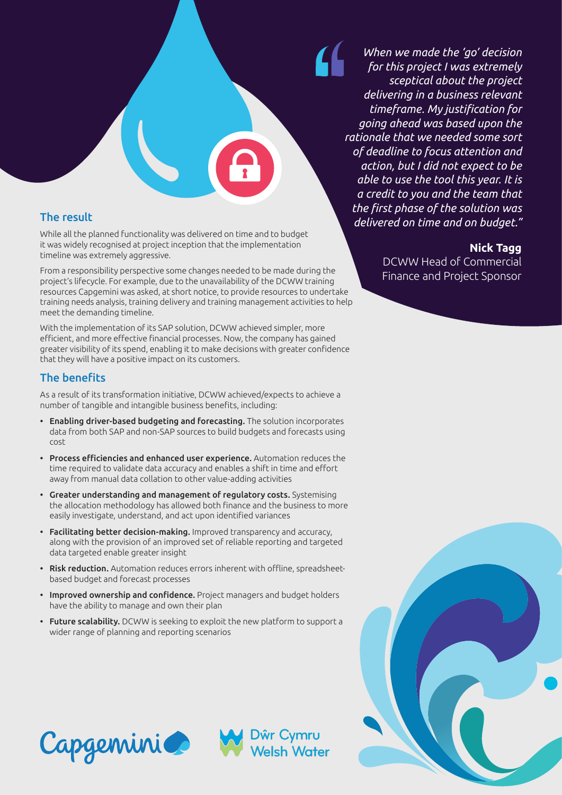The result

While all the planned functionality was delivered on time and to budget it was widely recognised at project inception that the implementation timeline was extremely aggressive.

From a responsibility perspective some changes needed to be made during the project's lifecycle. For example, due to the unavailability of the DCWW training resources Capgemini was asked, at short notice, to provide resources to undertake training needs analysis, training delivery and training management activities to help meet the demanding timeline.

With the implementation of its SAP solution, DCWW achieved simpler, more efficient, and more effective financial processes. Now, the company has gained greater visibility of its spend, enabling it to make decisions with greater confidence that they will have a positive impact on its customers.

### The benefits

As a result of its transformation initiative, DCWW achieved/expects to achieve a number of tangible and intangible business benefits, including:

- Enabling driver-based budgeting and forecasting. The solution incorporates data from both SAP and non-SAP sources to build budgets and forecasts using cost
- Process efficiencies and enhanced user experience. Automation reduces the time required to validate data accuracy and enables a shift in time and effort away from manual data collation to other value-adding activities
- Greater understanding and management of regulatory costs. Systemising the allocation methodology has allowed both finance and the business to more easily investigate, understand, and act upon identified variances
- Facilitating better decision-making. Improved transparency and accuracy, along with the provision of an improved set of reliable reporting and targeted data targeted enable greater insight
- Risk reduction. Automation reduces errors inherent with offline, spreadsheetbased budget and forecast processes
- Improved ownership and confidence. Project managers and budget holders have the ability to manage and own their plan
- Future scalability. DCWW is seeking to exploit the new platform to support a wider range of planning and reporting scenarios

Dŵr Cymru<br>Welsh Water

*When we made the 'go' decision for this project I was extremely sceptical about the project delivering in a business relevant timeframe. My justification for going ahead was based upon the rationale that we needed some sort of deadline to focus attention and action, but I did not expect to be able to use the tool this year. It is a credit to you and the team that the first phase of the solution was delivered on time and on budget."*

### **Nick Tagg**

DCWW Head of Commercial Finance and Project Sponsor